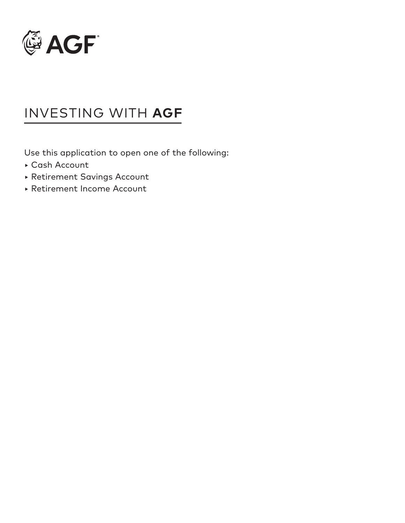

# INVESTING WITH **AGF**

Use this application to open one of the following:

- ‣ Cash Account
- ‣ Retirement Savings Account
- ‣ Retirement Income Account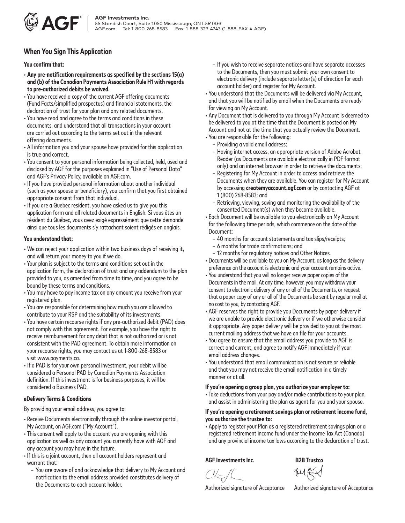

### **When You Sign This Application**

### You confirm that:

- **Any pre-notifcation requirements as specifed by the sections 15(a) and (b) of the Canadian Payments Association Rule H1 with regards to pre-authorized debits be waived.**
- You have received a copy of the current AGF offering documents (Fund Facts/simplifed prospectus) and fnancial statements, the declaration of trust for your plan and any related documents.
- You have read and agree to the terms and conditions in these documents, and understand that all transactions in your account are carried out according to the terms set out in the relevant offering documents.
- All information you and your spouse have provided for this application is true and correct.
- You consent to your personal information being collected, held, used and disclosed by AGF for the purposes explained in "Use of Personal Data" and AGF's Privacy Policy, available on AGF.com.
- $\overline{\phantom{a}}$ • If you have provided personal information about another individual (such as your spouse or beneficiary), you confirm that you first obtained appropriate consent from that individual.
- $\overline{\phantom{a}}$ • If you are a Quebec resident, you have asked us to give you this application form and all related documents in English. Si vous êtes un résident du Québec, vous avez exigé expressément que cette demande ainsi que tous les documents s'y rattachant soient rédigés en anglais.

### **You understand that:**

- We can reject your application within two business days of receiving it, and will return your money to you if we do.
- Your plan is subject to the terms and conditions set out in the application form, the declaration of trust and any addendum to the plan provided to you, as amended from time to time, and you agree to be bound by these terms and conditions.
- You may have to pay income tax on any amount you receive from your registered plan.
- You are responsible for determining how much you are allowed to contribute to your RSP and the suitability of its investments.
- You have certain recourse rights if any pre-authorized debit (PAD) does not comply with this agreement. For example, you have the right to receive reimbursement for any debit that is not authorized or is not consistent with the PAD agreement. To obtain more information on your recourse rights, you may contact us at 1-800-268-8583 or visit <www.payments.ca>.
- I • If a PAD is for your own personal investment, your debit will be considered a Personal PAD by Canadian Payments Association defnition. If this investment is for business purposes, it will be considered a Business PAD.

### **eDelivery Terms & Conditions**

By providing your email address, you agree to:

- Receive Documents electronically through the online investor portal, My Account, on AGF.com ("My Account").
- This consent will apply to the account you are opening with this application as well as any account you currently have with AGF and any account you may have in the future.
- If this is a joint account, then all account holders represent and warrant that:
	- You are aware of and acknowledge that delivery to My Account and notifcation to the email address provided constitutes delivery of the Documents to each account holder.
- If you wish to receive separate notices and have separate accesses to the Documents, then you must submit your own consent to electronic delivery (include separate letter(s) of direction for each account holder) and register for My Account.
- You understand that the Documents will be delivered via My Account, and that you will be notifed by email when the Documents are ready for viewing on My Account.
- Any Document that is delivered to you through My Account is deemed to be delivered to you at the time that the Document is posted on My Account and not at the time that you actually review the Document.
- You are responsible for the following:
	- Providing a valid email address;
	- Having internet access, an appropriate version of Adobe Acrobat Reader (as Documents are available electronically in PDF format only) and an internet browser in order to retrieve the documents;
	- Registering for My Account in order to access and retrieve the Documents when they are available. You can register for My Account by accessing **[createmyaccount.agf.com](https://createmyaccount.agf.com)** or by contacting AGF at 1 (800) 268-8583; and
	- Retrieving, viewing, saving and monitoring the availability of the consented Document(s) when they become available.
- Each Document will be available to you electronically on My Account for the following time periods, which commence on the date of the Document:
	- 40 months for account statements and tax slips/receipts;
	- 6 months for trade confrmations; and
	- 12 months for regulatory notices and Other Notices.
- Documents will be available to you on My Account, as long as the delivery preference on the account is electronic and your account remains active.
- You understand that you will no longer receive paper copies of the Documents in the mail. At any time, however, you may withdraw your consent to electronic delivery of any or all of the Documents, or request that a paper copy of any or all of the Documents be sent by regular mail at no cost to you, by contacting AGF.
- AGF reserves the right to provide you Documents by paper delivery if we are unable to provide electronic delivery or if we otherwise consider it appropriate. Any paper delivery will be provided to you at the most current mailing address that we have on fle for your accounts.
- You agree to ensure that the email address you provide to AGF is correct and current, and agree to notify AGF immediately if your email address changes.
- You understand that email communication is not secure or reliable and that you may not receive the email notification in a timely manner or at all.

### **If you're opening a group plan, you authorize your employer to:**

• Take deductions from your pay and/or make contributions to your plan, and assist in administering the plan as agent for you and your spouse.

### **If you're opening a retirement savings plan or retirement income fund, you authorize the trustee to:**

 $\overline{I}$ • Apply to register your Plan as a registered retirement savings plan or a registered retirement income fund under the Income Tax Act (Canada) and any provincial income tax laws according to the declaration of trust.

**AGF Investments Inc. B2B Trustco** 

144

Authorized signature of Acceptance Authorized signature of Acceptance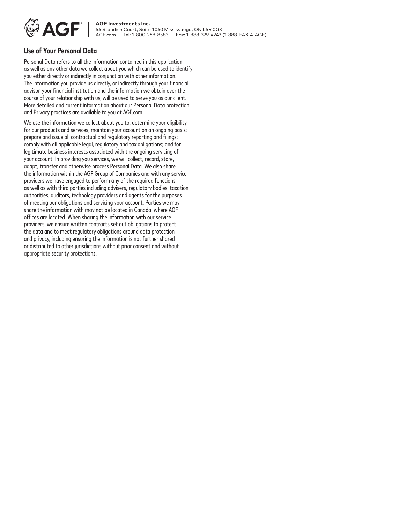

**AGF** | AGF Investments Inc.<br> **AGF** | 55 Standish Court, Suite 55 Standish Court, Suite 1050 Mississauga, ON L5R 0G3 Tel: 1-800-268-8583 Fax: 1-888-329-4243 (1-888-FAX-4-AGF)

### **Use of Your Personal Data**

Personal Data refers to all the information contained in this application as well as any other data we collect about you which can be used to identify you either directly or indirectly in conjunction with other information. The information you provide us directly, or indirectly through your fnancial advisor, your fnancial institution and the information we obtain over the course of your relationship with us, will be used to serve you as our client. More detailed and current information about our Personal Data protection and Privacy practices are available to you at AGF.com.

 $\overline{a}$ We use the information we collect about you to: determine your eligibility for our products and services; maintain your account on an ongoing basis; prepare and issue all contractual and regulatory reporting and flings; comply with all applicable legal, regulatory and tax obligations; and for legitimate business interests associated with the ongoing servicing of your account. In providing you services, we will collect, record, store, adapt, transfer and otherwise process Personal Data. We also share the information within the AGF Group of Companies and with any service providers we have engaged to perform any of the required functions, as well as with third parties including advisers, regulatory bodies, taxation authorities, auditors, technology providers and agents for the purposes of meeting our obligations and servicing your account. Parties we may share the information with may not be located in Canada, where AGF offices are located. When sharing the information with our service providers, we ensure written contracts set out obligations to protect the data and to meet regulatory obligations around data protection and privacy, including ensuring the information is not further shared or distributed to other jurisdictions without prior consent and without appropriate security protections.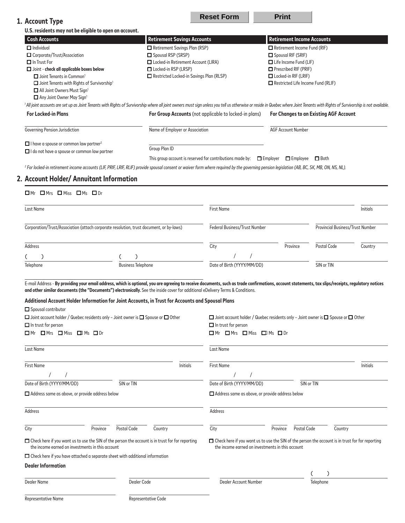| 1. Account Type                                                                                                                                                                                                                                                                                                                                                                                                                                                                                                                                                                                                                                                |                                          | <b>Reset Form</b>                                                                                     | <b>Print</b>                                                                                                                                                |                                         |                 |
|----------------------------------------------------------------------------------------------------------------------------------------------------------------------------------------------------------------------------------------------------------------------------------------------------------------------------------------------------------------------------------------------------------------------------------------------------------------------------------------------------------------------------------------------------------------------------------------------------------------------------------------------------------------|------------------------------------------|-------------------------------------------------------------------------------------------------------|-------------------------------------------------------------------------------------------------------------------------------------------------------------|-----------------------------------------|-----------------|
| U.S. residents may not be eligible to open an account.                                                                                                                                                                                                                                                                                                                                                                                                                                                                                                                                                                                                         |                                          |                                                                                                       |                                                                                                                                                             |                                         |                 |
| <b>Cash Accounts</b>                                                                                                                                                                                                                                                                                                                                                                                                                                                                                                                                                                                                                                           | <b>Retirement Savings Accounts</b>       |                                                                                                       | <b>Retirement Income Accounts</b>                                                                                                                           |                                         |                 |
| $\Box$ Individual                                                                                                                                                                                                                                                                                                                                                                                                                                                                                                                                                                                                                                              | Retirement Savings Plan (RSP)            |                                                                                                       | Retirement Income Fund (RIF)                                                                                                                                |                                         |                 |
| □ Corporate/Trust/Association                                                                                                                                                                                                                                                                                                                                                                                                                                                                                                                                                                                                                                  | Spousal RSP (SRSP)                       |                                                                                                       | Spousal RIF (SRIF)                                                                                                                                          |                                         |                 |
| $\Box$ In Trust For                                                                                                                                                                                                                                                                                                                                                                                                                                                                                                                                                                                                                                            | □ Locked-in Retirement Account (LIRA)    |                                                                                                       | Life Income Fund (LIF)                                                                                                                                      |                                         |                 |
| $\Box$ Joint - check all applicable boxes below                                                                                                                                                                                                                                                                                                                                                                                                                                                                                                                                                                                                                | Locked-in RSP (LRSP)                     |                                                                                                       | $\Box$ Prescribed RIF (PRIF)                                                                                                                                |                                         |                 |
| $\Box$ Joint Tenants in Common <sup>1</sup><br>□ Joint Tenants with Rights of Survivorship <sup>1</sup>                                                                                                                                                                                                                                                                                                                                                                                                                                                                                                                                                        | Restricted Locked-in Savings Plan (RLSP) |                                                                                                       | $\Box$ Locked-in RIF (LRIF)<br>$\Box$ Restricted Life Income Fund (RLIF)                                                                                    |                                         |                 |
| All Joint Owners Must Sign1                                                                                                                                                                                                                                                                                                                                                                                                                                                                                                                                                                                                                                    |                                          |                                                                                                       |                                                                                                                                                             |                                         |                 |
| Any Joint Owner May Sign1                                                                                                                                                                                                                                                                                                                                                                                                                                                                                                                                                                                                                                      |                                          |                                                                                                       |                                                                                                                                                             |                                         |                 |
| 1 All joint accounts are set up as Joint Tenants with Rights of Survivorship where all joint owners must sign unless you tell us otherwise or reside in Quebec where Joint Tenants with Rights of Survivorship is not availabl                                                                                                                                                                                                                                                                                                                                                                                                                                 |                                          |                                                                                                       |                                                                                                                                                             |                                         |                 |
| <b>For Locked-in Plans</b>                                                                                                                                                                                                                                                                                                                                                                                                                                                                                                                                                                                                                                     |                                          | For Group Accounts (not applicable to locked-in plans)                                                |                                                                                                                                                             | For Changes to an Existing AGF Account  |                 |
| Governing Pension Jurisdiction                                                                                                                                                                                                                                                                                                                                                                                                                                                                                                                                                                                                                                 | Name of Employer or Association          |                                                                                                       | <b>AGF Account Number</b>                                                                                                                                   |                                         |                 |
| $\Box$ I have a spouse or common law partner <sup>2</sup>                                                                                                                                                                                                                                                                                                                                                                                                                                                                                                                                                                                                      |                                          |                                                                                                       |                                                                                                                                                             |                                         |                 |
| I do not have a spouse or common law partner                                                                                                                                                                                                                                                                                                                                                                                                                                                                                                                                                                                                                   | Group Plan ID                            |                                                                                                       |                                                                                                                                                             |                                         |                 |
|                                                                                                                                                                                                                                                                                                                                                                                                                                                                                                                                                                                                                                                                |                                          | This group account is reserved for contributions made by: $\Box$ Employer $\Box$ Employee $\Box$ Both |                                                                                                                                                             |                                         |                 |
| <sup>2</sup> For locked-in retirement income accounts (LIF, PRIF, LRIF, RLIF) provide spousal consent or waiver form where required by the governing pension legislation (AB, BC, SK, MB, ON, NS, NL).                                                                                                                                                                                                                                                                                                                                                                                                                                                         |                                          |                                                                                                       |                                                                                                                                                             |                                         |                 |
| 2. Account Holder/ Annuitant Information                                                                                                                                                                                                                                                                                                                                                                                                                                                                                                                                                                                                                       |                                          |                                                                                                       |                                                                                                                                                             |                                         |                 |
| $\Box$ Mr $\Box$ Mrs $\Box$ Miss $\Box$ Ms $\Box$ Dr                                                                                                                                                                                                                                                                                                                                                                                                                                                                                                                                                                                                           |                                          |                                                                                                       |                                                                                                                                                             |                                         |                 |
| <b>Last Name</b>                                                                                                                                                                                                                                                                                                                                                                                                                                                                                                                                                                                                                                               |                                          | <b>First Name</b>                                                                                     |                                                                                                                                                             |                                         | <b>Initials</b> |
| Corporation/Trust/Association (attach corporate resolution, trust document, or by-laws)                                                                                                                                                                                                                                                                                                                                                                                                                                                                                                                                                                        |                                          | Federal Business/Trust Number                                                                         |                                                                                                                                                             | <b>Provincial Business/Trust Number</b> |                 |
| Address                                                                                                                                                                                                                                                                                                                                                                                                                                                                                                                                                                                                                                                        |                                          | City                                                                                                  | Province                                                                                                                                                    | Postal Code                             | Country         |
| €                                                                                                                                                                                                                                                                                                                                                                                                                                                                                                                                                                                                                                                              |                                          |                                                                                                       |                                                                                                                                                             |                                         |                 |
| Telephone<br><b>Business Telephone</b>                                                                                                                                                                                                                                                                                                                                                                                                                                                                                                                                                                                                                         |                                          | Date of Birth (YYYY/MM/DD)                                                                            |                                                                                                                                                             | SIN or TIN                              |                 |
| E-mail Address - By providing your email address, which is optional, you are agreeing to receive documents, such as trade confirmations, account statements, tax slips/receipts, regulatory notices<br>and other similar documents (the "Documents") electronically. See the inside cover for additional eDelivery Terms & Conditions.<br>Additional Account Holder Information for Joint Accounts, in Trust for Accounts and Spousal Plans<br>Spousal contributor<br>$\Box$ Joint account holder / Quebec residents only - Joint owner is $\Box$ Spouse or $\Box$ Other<br>$\Box$ In trust for person<br>$\Box$ Mr $\Box$ Mrs $\Box$ Miss $\Box$ Ms $\Box$ Dr |                                          | $\Box$ In trust for person<br>$\Box$ Mr $\Box$ Mrs $\Box$ Miss $\Box$ Ms $\Box$ Dr                    | $\Box$ Joint account holder / Quebec residents only - Joint owner is $\Box$ Spouse or $\Box$ Other                                                          |                                         |                 |
| Last Name                                                                                                                                                                                                                                                                                                                                                                                                                                                                                                                                                                                                                                                      |                                          | Last Name                                                                                             |                                                                                                                                                             |                                         |                 |
|                                                                                                                                                                                                                                                                                                                                                                                                                                                                                                                                                                                                                                                                |                                          |                                                                                                       |                                                                                                                                                             |                                         |                 |
| <b>First Name</b>                                                                                                                                                                                                                                                                                                                                                                                                                                                                                                                                                                                                                                              | <b>Initials</b>                          | <b>First Name</b>                                                                                     |                                                                                                                                                             |                                         | <b>Initials</b> |
|                                                                                                                                                                                                                                                                                                                                                                                                                                                                                                                                                                                                                                                                |                                          |                                                                                                       |                                                                                                                                                             |                                         |                 |
| Date of Birth (YYYY/MM/DD)<br>SIN or TIN                                                                                                                                                                                                                                                                                                                                                                                                                                                                                                                                                                                                                       |                                          | Date of Birth (YYYY/MM/DD)                                                                            |                                                                                                                                                             | SIN or TIN                              |                 |
| $\Box$ Address same as above, or provide address below                                                                                                                                                                                                                                                                                                                                                                                                                                                                                                                                                                                                         |                                          | $\Box$ Address same as above, or provide address below                                                |                                                                                                                                                             |                                         |                 |
| Address                                                                                                                                                                                                                                                                                                                                                                                                                                                                                                                                                                                                                                                        |                                          | Address                                                                                               |                                                                                                                                                             |                                         |                 |
| Postal Code<br>City<br>Province                                                                                                                                                                                                                                                                                                                                                                                                                                                                                                                                                                                                                                | Country                                  | City                                                                                                  | Postal Code<br>Province                                                                                                                                     | Country                                 |                 |
| $\Box$ Check here if you want us to use the SIN of the person the account is in trust for for reporting<br>the income earned on investments in this account                                                                                                                                                                                                                                                                                                                                                                                                                                                                                                    |                                          |                                                                                                       | $\Box$ Check here if you want us to use the SIN of the person the account is in trust for for reporting<br>the income earned on investments in this account |                                         |                 |
| $\Box$ Check here if you have attached a separate sheet with additional information                                                                                                                                                                                                                                                                                                                                                                                                                                                                                                                                                                            |                                          |                                                                                                       |                                                                                                                                                             |                                         |                 |
| <b>Dealer Information</b>                                                                                                                                                                                                                                                                                                                                                                                                                                                                                                                                                                                                                                      |                                          |                                                                                                       |                                                                                                                                                             |                                         |                 |
|                                                                                                                                                                                                                                                                                                                                                                                                                                                                                                                                                                                                                                                                |                                          |                                                                                                       |                                                                                                                                                             |                                         |                 |
| <b>Dealer Name</b>                                                                                                                                                                                                                                                                                                                                                                                                                                                                                                                                                                                                                                             | Dealer Code                              | Dealer Account Number                                                                                 |                                                                                                                                                             | Telephone                               |                 |
| Representative Name                                                                                                                                                                                                                                                                                                                                                                                                                                                                                                                                                                                                                                            | Representative Code                      |                                                                                                       |                                                                                                                                                             |                                         |                 |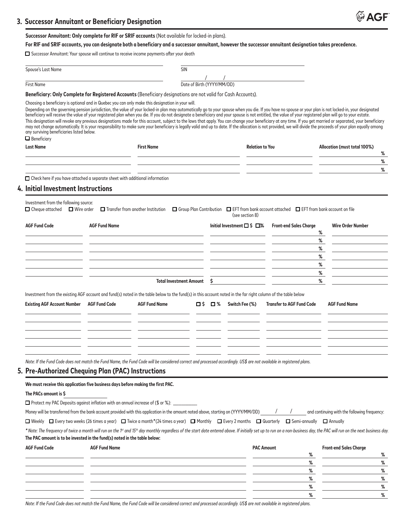Successor Annuitant: Only complete for RIF or SRIF accounts (Not available for locked-in plans).

### For RIF and SRIF accounts, you can designate both a beneficiary and a successor annuitant, however the successor annuitant designation takes precedence.

□ Successor Annuitant: Your spouse will continue to receive income payments afer your death

|                                                                                                                                                                                                                                                                              |                      | $\Box$ Successor Annuitant: Your spouse will continue to receive income payments after your death                                                                    |                            |     |                                       |                                                                                                           |                                                                                                                                                                                                                                                                                                                                                                                                                                                                                                                                                                                                                                              |
|------------------------------------------------------------------------------------------------------------------------------------------------------------------------------------------------------------------------------------------------------------------------------|----------------------|----------------------------------------------------------------------------------------------------------------------------------------------------------------------|----------------------------|-----|---------------------------------------|-----------------------------------------------------------------------------------------------------------|----------------------------------------------------------------------------------------------------------------------------------------------------------------------------------------------------------------------------------------------------------------------------------------------------------------------------------------------------------------------------------------------------------------------------------------------------------------------------------------------------------------------------------------------------------------------------------------------------------------------------------------------|
| Spouse's Last Name                                                                                                                                                                                                                                                           |                      | SIN                                                                                                                                                                  |                            |     |                                       |                                                                                                           |                                                                                                                                                                                                                                                                                                                                                                                                                                                                                                                                                                                                                                              |
|                                                                                                                                                                                                                                                                              |                      |                                                                                                                                                                      |                            |     |                                       |                                                                                                           |                                                                                                                                                                                                                                                                                                                                                                                                                                                                                                                                                                                                                                              |
| <b>First Name</b>                                                                                                                                                                                                                                                            |                      |                                                                                                                                                                      | Date of Birth (YYYY/MM/DD) |     |                                       |                                                                                                           |                                                                                                                                                                                                                                                                                                                                                                                                                                                                                                                                                                                                                                              |
| Beneficiary: Only Complete for Registered Accounts (Beneficiary designations are not valid for Cash Accounts).                                                                                                                                                               |                      |                                                                                                                                                                      |                            |     |                                       |                                                                                                           |                                                                                                                                                                                                                                                                                                                                                                                                                                                                                                                                                                                                                                              |
| beneficiary will receive the value of your registered plan when you die. If you do not designate a beneficiary and your spouse is not entitled, the value of your registered plan will go to your estate.<br>any surviving beneficiaries listed below.<br>$\Box$ Beneficiary |                      | Choosing a beneficiary is optional and in Quebec you can only make this designation in your will.                                                                    |                            |     |                                       |                                                                                                           | Depending on the governing pension jurisdiction, the value of your locked-in plan may automatically go to your spouse when you die. If you have no spouse or your plan is not locked-in, your designated<br>This designation will revoke any previous designations made for this account, subject to the laws that apply. You can change your beneficiary at any time. If you get married or separated, your beneficiary<br>may not change automatically. It is your responsibility to make sure your beneficiary is legally valid and up to date. If the allocation is not provided, we will divide the proceeds of your plan equally among |
| <b>Last Name</b>                                                                                                                                                                                                                                                             |                      | <b>First Name</b>                                                                                                                                                    |                            |     | <b>Relation to You</b>                |                                                                                                           | Allocation (must total 100%)                                                                                                                                                                                                                                                                                                                                                                                                                                                                                                                                                                                                                 |
|                                                                                                                                                                                                                                                                              |                      |                                                                                                                                                                      |                            |     |                                       |                                                                                                           | ℅                                                                                                                                                                                                                                                                                                                                                                                                                                                                                                                                                                                                                                            |
|                                                                                                                                                                                                                                                                              |                      |                                                                                                                                                                      |                            |     |                                       |                                                                                                           | %<br>%                                                                                                                                                                                                                                                                                                                                                                                                                                                                                                                                                                                                                                       |
| $\Box$ Check here if you have attached a separate sheet with additional information<br>4. Initial Investment Instructions                                                                                                                                                    |                      |                                                                                                                                                                      |                            |     |                                       |                                                                                                           |                                                                                                                                                                                                                                                                                                                                                                                                                                                                                                                                                                                                                                              |
| Investment from the following source:<br>$\Box$ Cheque attached $\Box$ Wire order                                                                                                                                                                                            |                      | $\Box$ Transfer from another Institution                                                                                                                             |                            |     | (see section 8)                       | $\Box$ Group Plan Contribution $\Box$ EFT from bank account attached $\Box$ EFT from bank account on file |                                                                                                                                                                                                                                                                                                                                                                                                                                                                                                                                                                                                                                              |
| <b>AGF Fund Code</b>                                                                                                                                                                                                                                                         | <b>AGF Fund Name</b> |                                                                                                                                                                      |                            |     | Initial Investment $\Box$ \$ $\Box$ % | <b>Front-end Sales Charge</b>                                                                             | <b>Wire Order Number</b><br>%                                                                                                                                                                                                                                                                                                                                                                                                                                                                                                                                                                                                                |
|                                                                                                                                                                                                                                                                              |                      |                                                                                                                                                                      |                            |     |                                       |                                                                                                           | %                                                                                                                                                                                                                                                                                                                                                                                                                                                                                                                                                                                                                                            |
|                                                                                                                                                                                                                                                                              |                      |                                                                                                                                                                      |                            |     |                                       |                                                                                                           | %                                                                                                                                                                                                                                                                                                                                                                                                                                                                                                                                                                                                                                            |
|                                                                                                                                                                                                                                                                              |                      |                                                                                                                                                                      |                            |     |                                       |                                                                                                           | %                                                                                                                                                                                                                                                                                                                                                                                                                                                                                                                                                                                                                                            |
|                                                                                                                                                                                                                                                                              |                      |                                                                                                                                                                      |                            |     |                                       |                                                                                                           | %                                                                                                                                                                                                                                                                                                                                                                                                                                                                                                                                                                                                                                            |
|                                                                                                                                                                                                                                                                              |                      | <b>Total Investment Amount</b>                                                                                                                                       |                            | \$  |                                       |                                                                                                           | %<br>%                                                                                                                                                                                                                                                                                                                                                                                                                                                                                                                                                                                                                                       |
|                                                                                                                                                                                                                                                                              |                      |                                                                                                                                                                      |                            |     |                                       |                                                                                                           |                                                                                                                                                                                                                                                                                                                                                                                                                                                                                                                                                                                                                                              |
| Investment from the existing AGF account and fund(s) noted in the table below to the fund(s) in this account noted in the far right column of the table below                                                                                                                |                      |                                                                                                                                                                      |                            |     |                                       |                                                                                                           |                                                                                                                                                                                                                                                                                                                                                                                                                                                                                                                                                                                                                                              |
| <b>Existing AGF Account Number</b>                                                                                                                                                                                                                                           | <b>AGF Fund Code</b> | <b>AGF Fund Name</b>                                                                                                                                                 | □ \$                       | □ % | Switch Fee (%)                        | <b>Transfer to AGF Fund Code</b>                                                                          | <b>AGF Fund Name</b>                                                                                                                                                                                                                                                                                                                                                                                                                                                                                                                                                                                                                         |
|                                                                                                                                                                                                                                                                              |                      |                                                                                                                                                                      |                            |     |                                       |                                                                                                           |                                                                                                                                                                                                                                                                                                                                                                                                                                                                                                                                                                                                                                              |
|                                                                                                                                                                                                                                                                              |                      | Note: If the Fund Code does not match the Fund Name, the Fund Code will be considered correct and processed accordingly. US\$ are not available in registered plans. |                            |     |                                       |                                                                                                           |                                                                                                                                                                                                                                                                                                                                                                                                                                                                                                                                                                                                                                              |
| 5. Pre-Authorized Chequing Plan (PAC) Instructions                                                                                                                                                                                                                           |                      |                                                                                                                                                                      |                            |     |                                       |                                                                                                           |                                                                                                                                                                                                                                                                                                                                                                                                                                                                                                                                                                                                                                              |
| We must receive this application five business days before making the first PAC.                                                                                                                                                                                             |                      |                                                                                                                                                                      |                            |     |                                       |                                                                                                           |                                                                                                                                                                                                                                                                                                                                                                                                                                                                                                                                                                                                                                              |
| The PACs amount is \$                                                                                                                                                                                                                                                        |                      |                                                                                                                                                                      |                            |     |                                       |                                                                                                           |                                                                                                                                                                                                                                                                                                                                                                                                                                                                                                                                                                                                                                              |
| □ Protect my PAC Deposits against inflation with an annual increase of (\$ or %): __________                                                                                                                                                                                 |                      |                                                                                                                                                                      |                            |     |                                       |                                                                                                           |                                                                                                                                                                                                                                                                                                                                                                                                                                                                                                                                                                                                                                              |
| Money will be transferred from the bank account provided with this application in the amount noted above, starting on (YYYY/MM/DD)                                                                                                                                           |                      |                                                                                                                                                                      |                            |     |                                       |                                                                                                           | and continuing with the following frequency:                                                                                                                                                                                                                                                                                                                                                                                                                                                                                                                                                                                                 |
| □ Weekly □ Every two weeks (26 times a year) □ Twice a month*(24 times a year) □ Monthly □ Every 2 months □ Quarterly □ Semi-annually □ Annually                                                                                                                             |                      |                                                                                                                                                                      |                            |     |                                       |                                                                                                           |                                                                                                                                                                                                                                                                                                                                                                                                                                                                                                                                                                                                                                              |
| The PAC amount is to be invested in the fund(s) noted in the table below:                                                                                                                                                                                                    |                      |                                                                                                                                                                      |                            |     |                                       |                                                                                                           | * Note: The frequency of twice a month will run on the 1st and 15th day monthly regardless of the start date entered above. If initially set up to run on a non-business day, the PAC will run on the next business day.                                                                                                                                                                                                                                                                                                                                                                                                                     |

| <b>AGF Fund Code</b> | <b>AGF Fund Name</b> | <b>Front-end Sales Charge</b><br><b>PAC Amount</b> |              |
|----------------------|----------------------|----------------------------------------------------|--------------|
|                      |                      | O                                                  | $\mathbf{a}$ |
|                      |                      | $\mathsf{o}$                                       | ℀            |
|                      |                      | $\mathbf{a}$                                       | 07           |
|                      |                      | O                                                  | $\sigma$     |
|                      |                      | $\mathbf{O}/$                                      |              |
|                      |                      | $\Omega$                                           |              |

*Note: If the Fund Code does not match the Fund Name, the Fund Code will be considered correct and processed accordingly. US\$ are not available in registered plans.*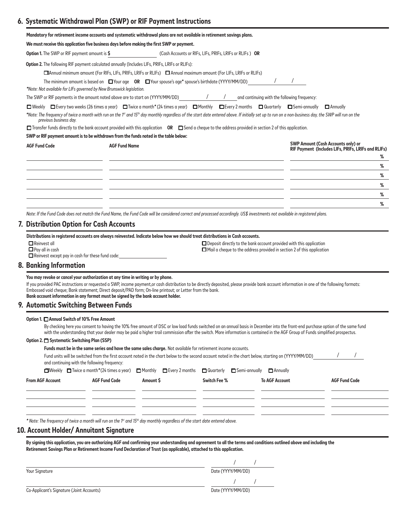# **6. Systematic Withdrawal Plan (SWP) or RIF Payment Instructions**

|                                                                                   |                                                                                   | Mandatory for retirement income accounts and systematic withdrawal plans are not available in retirement savings plans.                             |                                                         |                                                                                                                                                                                                                                                                                                                                                                                                            |                                                                                                       |
|-----------------------------------------------------------------------------------|-----------------------------------------------------------------------------------|-----------------------------------------------------------------------------------------------------------------------------------------------------|---------------------------------------------------------|------------------------------------------------------------------------------------------------------------------------------------------------------------------------------------------------------------------------------------------------------------------------------------------------------------------------------------------------------------------------------------------------------------|-------------------------------------------------------------------------------------------------------|
|                                                                                   |                                                                                   | We must receive this application five business days before making the first SWP or payment.                                                         |                                                         |                                                                                                                                                                                                                                                                                                                                                                                                            |                                                                                                       |
| Option 1. The SWP or RIF payment amount is \$                                     |                                                                                   |                                                                                                                                                     | (Cash Accounts or RIFs, LIFs, PRIFs, LRIFs or RLIFs) OR |                                                                                                                                                                                                                                                                                                                                                                                                            |                                                                                                       |
|                                                                                   |                                                                                   | Option 2. The following RIF payment calculated annually (Includes LIFs, PRIFs, LRIFs or RLIFs):                                                     |                                                         |                                                                                                                                                                                                                                                                                                                                                                                                            |                                                                                                       |
|                                                                                   |                                                                                   | □Annual minimum amount (For RIFs, LIFs, PRIFs, LRIFs or RLIFs) □ Annual maximum amount (For LIFs, LRIFs or RLIFs)                                   |                                                         |                                                                                                                                                                                                                                                                                                                                                                                                            |                                                                                                       |
|                                                                                   |                                                                                   | The minimum amount is based on<br>$\Box$ Your age  OR $\Box$ Your spouse's age* spouse's birthdate (YYYY/MM/DD)                                     |                                                         |                                                                                                                                                                                                                                                                                                                                                                                                            |                                                                                                       |
|                                                                                   | *Note: Not available for LIFs governed by New Brunswick legislation.              |                                                                                                                                                     |                                                         |                                                                                                                                                                                                                                                                                                                                                                                                            |                                                                                                       |
|                                                                                   |                                                                                   | The SWP or RIF payments in the amount noted above are to start on (YYYY/MM/DD)                                                                      | $\sqrt{2}$<br>$\sqrt{2}$                                | and continuing with the following frequency:                                                                                                                                                                                                                                                                                                                                                               |                                                                                                       |
|                                                                                   |                                                                                   |                                                                                                                                                     |                                                         | $\Box$ Weekly $\Box$ Every two weeks (26 times a year) $\Box$ Twice a month * (24 times a year) $\Box$ Monthly $\Box$ Every 2 months $\Box$ Quarterly $\Box$ Semi-annually<br>*Note: The frequency of twice a month with run on the 1 <sup>st</sup> and 15 <sup>th</sup> day monthly regardless of the start date entered above. If initially set up to run on a non-business day, the SWP will run on the | $\Box$ Annually                                                                                       |
| previous business day.                                                            |                                                                                   |                                                                                                                                                     |                                                         |                                                                                                                                                                                                                                                                                                                                                                                                            |                                                                                                       |
|                                                                                   |                                                                                   |                                                                                                                                                     |                                                         | □ Transfer funds directly to the bank account provided with this application OR □ Send a cheque to the address provided in section 2 of this application.                                                                                                                                                                                                                                                  |                                                                                                       |
|                                                                                   |                                                                                   | SWP or RIF payment amount is to be withdrawn from the funds noted in the table below:                                                               |                                                         |                                                                                                                                                                                                                                                                                                                                                                                                            |                                                                                                       |
| <b>AGF Fund Code</b>                                                              | <b>AGF Fund Name</b>                                                              |                                                                                                                                                     |                                                         |                                                                                                                                                                                                                                                                                                                                                                                                            | <b>SWP Amount (Cash Accounts only) or</b><br>RIF Payment (Includes LIFs, PRIFs, LRIFs and RLIFs)<br>℅ |
|                                                                                   |                                                                                   |                                                                                                                                                     |                                                         |                                                                                                                                                                                                                                                                                                                                                                                                            | %                                                                                                     |
|                                                                                   |                                                                                   |                                                                                                                                                     |                                                         |                                                                                                                                                                                                                                                                                                                                                                                                            | %                                                                                                     |
|                                                                                   |                                                                                   |                                                                                                                                                     |                                                         |                                                                                                                                                                                                                                                                                                                                                                                                            | %                                                                                                     |
|                                                                                   |                                                                                   |                                                                                                                                                     |                                                         |                                                                                                                                                                                                                                                                                                                                                                                                            | %                                                                                                     |
|                                                                                   |                                                                                   |                                                                                                                                                     |                                                         |                                                                                                                                                                                                                                                                                                                                                                                                            | %                                                                                                     |
|                                                                                   |                                                                                   |                                                                                                                                                     |                                                         | Note: If the Fund Code does not match the Fund Name, the Fund Code will be considered correct and processed accordingly. US\$ investments not available in registered plans.                                                                                                                                                                                                                               |                                                                                                       |
|                                                                                   |                                                                                   |                                                                                                                                                     |                                                         |                                                                                                                                                                                                                                                                                                                                                                                                            |                                                                                                       |
| 7. Distribution Option for Cash Accounts                                          |                                                                                   |                                                                                                                                                     |                                                         |                                                                                                                                                                                                                                                                                                                                                                                                            |                                                                                                       |
| $\Box$ Reinvest except pay in cash for these fund code:<br>8. Banking Information | You may revoke or cancel your authorization at any time in writing or by phone.   |                                                                                                                                                     |                                                         |                                                                                                                                                                                                                                                                                                                                                                                                            |                                                                                                       |
|                                                                                   | Bank account information in any format must be signed by the bank account holder. | Embossed void cheque; Bank statement; Direct deposit/PAD form; On-line printout; or Letter from the bank.                                           |                                                         | If you provided PAC instructions or requested a SWP, income payment,or cash distribution to be directly deposited, please provide bank account information in one of the following formats:                                                                                                                                                                                                                |                                                                                                       |
| 9. Automatic Switching Between Funds                                              |                                                                                   |                                                                                                                                                     |                                                         |                                                                                                                                                                                                                                                                                                                                                                                                            |                                                                                                       |
| Option 1. □ Annual Switch of 10% Free Amount                                      |                                                                                   |                                                                                                                                                     |                                                         | By checking here you consent to having the 10% free amount of DSC or low load funds switched on an annual basis in December into the front-end purchase option of the same fund<br>with the understanding that your dealer may be paid a higher trail commission after the switch. More information is contained in the AGF Group of Funds simplified prospectus.                                          |                                                                                                       |
| Option 2. <sup>Systematic</sup> Switching Plan (SSP)                              |                                                                                   |                                                                                                                                                     |                                                         |                                                                                                                                                                                                                                                                                                                                                                                                            |                                                                                                       |
|                                                                                   |                                                                                   | Funds must be in the same series and have the same sales charge. Not available for retirement income accounts.                                      |                                                         |                                                                                                                                                                                                                                                                                                                                                                                                            |                                                                                                       |
|                                                                                   | and continuing with the following frequency:                                      |                                                                                                                                                     |                                                         | Fund units will be switched from the first account noted in the chart below to the second account noted in the chart below, starting on (YYYY/MM/DD)                                                                                                                                                                                                                                                       |                                                                                                       |
|                                                                                   |                                                                                   | □Weekly □ Twice a month*(24 times a year) □ Monthly □ Every 2 months □ Quarterly □ Semi-annually                                                    |                                                         | $\Box$ Annually                                                                                                                                                                                                                                                                                                                                                                                            |                                                                                                       |
| <b>From AGF Account</b>                                                           | <b>AGF Fund Code</b>                                                              | Amount \$                                                                                                                                           | <b>Switch Fee %</b>                                     | <b>To AGF Account</b>                                                                                                                                                                                                                                                                                                                                                                                      | <b>AGF Fund Code</b>                                                                                  |
|                                                                                   |                                                                                   |                                                                                                                                                     |                                                         |                                                                                                                                                                                                                                                                                                                                                                                                            |                                                                                                       |
|                                                                                   |                                                                                   |                                                                                                                                                     |                                                         |                                                                                                                                                                                                                                                                                                                                                                                                            |                                                                                                       |
| 10. Account Holder/ Annuitant Signature                                           |                                                                                   | * Note: The frequency of twice a month will run on the 1 <sup>st</sup> and 15 <sup>th</sup> day monthly regardless of the start date entered above. |                                                         |                                                                                                                                                                                                                                                                                                                                                                                                            |                                                                                                       |
|                                                                                   |                                                                                   |                                                                                                                                                     |                                                         |                                                                                                                                                                                                                                                                                                                                                                                                            |                                                                                                       |
|                                                                                   |                                                                                   | Retirement Savings Plan or Retirement Income Fund Declaration of Trust (as applicable), attached to this application.                               |                                                         | By signing this application, you are authorizing AGF and confirming your understanding and agreement to all the terms and conditions outlined above and including the                                                                                                                                                                                                                                      |                                                                                                       |
|                                                                                   |                                                                                   |                                                                                                                                                     |                                                         |                                                                                                                                                                                                                                                                                                                                                                                                            |                                                                                                       |
|                                                                                   |                                                                                   |                                                                                                                                                     |                                                         |                                                                                                                                                                                                                                                                                                                                                                                                            |                                                                                                       |
| Your Signature                                                                    |                                                                                   |                                                                                                                                                     | Date (YYYY/MM/DD)                                       |                                                                                                                                                                                                                                                                                                                                                                                                            |                                                                                                       |

| Your Signature                            | Date (YYYY/MM/DD) |  |  |  |
|-------------------------------------------|-------------------|--|--|--|
|                                           |                   |  |  |  |
| Co-Applicant's Signature (Joint Accounts) | Date (YYYY/MM/DD) |  |  |  |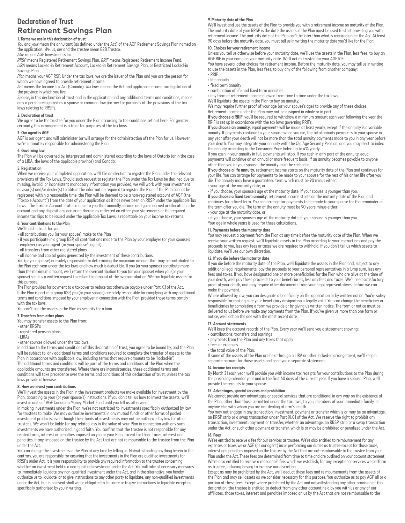## **Declaration of Trust Retirement Savings Plan**

### **1. Terms we use in this declaration of trust**

*You* and *your* mean the annuitant (as defned under the Act) of the AGF Retirement Savings Plan named on the application. *We*, *us*, *our* and the *trustee* mean B2B Trustco.

*AGF* means AGF Investments Inc.

*RRSP* means Registered Retirement Savings Plan. *RRIF* means Registered Retirement Income Fund. *LIRA* means Locked-in Retirement Account, Locked-in Retirement Savings Plan, or Restricted Locked-in Savings Plan.

*Plan* means your AGF RSP. Under the tax laws, we are the issuer of the Plan and you are the person for whom we have agreed to provide retirement income.

*Act means* the Income Tax Act (Canada). *Tax laws* means the Act and applicable income tax legislation of the province in which you live.

*Spouse*, in this declaration of trust and in the application and any additional terms and conditions, means only a person recognized as a spouse or common-law partner for purposes of the provisions of the tax laws relating to RRSPs.

### **2. Declaration of trust**

We agree to be the trustee for you under the Plan according to the conditions set out here. For greater certainty, this arrangement is a trust for purposes of the tax laws.

### **3. Our agent is AGF**

AGF is our agent and will administer (or will arrange for the administration of) the Plan for us. However, we're ultimately responsible for administering the Plan.

### **4. Governing law**

The Plan will be governed by, interpreted and administered according to the laws of Ontario (or in the case of a LIRA, the laws of the applicable province) and Canada.

### **5. Registration**

í When we receive your completed application, we'll file an election to register the Plan under the relevant provisions of the Tax Laws. Should such request to register the Plan under the Tax Laws be declined due to missing, invalid, or inconsistent mandatory information you provided, we will work with your investment advisor(s) and/or dealer(s) to obtain the information required to register the Plan. If the Plan cannot be registered within a reasonable time, the Plan will be deemed to be a non-registered account of AGF (the "Taxable Account") from the date of your application as it has never been an RRSP under the applicable Tax Laws. The Taxable Account status means to you that annually, income and gains earned or allocated in the account and any dispositions occurring therein as refected on either your statements or the required income tax slips to be issued under the applicable Tax Laws is reportable on your income tax returns.

#### **6. Your contributions to the Plan**

We'll hold in trust for you:

• all contributions you (or your spouse) make to the Plan

- i • if you participate in a group RSP, all contributions made to the Plan by your employer (or your spouse's
- employer) as your agent (or your spouse's agent) • all transfers from other registered plans
- all income and capital gains generated by the investment of these contributions.

You (or your spouse) are solely responsible for determining the maximum amount that may be contributed to the Plan each year under the tax laws and how much is deductible. If you (or your spouse) contribute more than the maximum amount, we'll return the overcontribution to you (or your spouse) when you (or your spouse) send us a written request to reduce the amount of the overcontribution. We can liquidate assets for this purpose.

The Plan provides for payment to a taxpayer to reduce tax otherwise payable under Part X.1 of the Act. If the Plan is part of a group RSP, you (or your spouse) are solely responsible for complying with any additional terms and conditions imposed by your employer in connection with the Plan, provided those terms comply with the tax laws.

You can't use the assets in the Plan as security for a loan.

### **7. Transfers from other plans**

You may transfer assets to the Plan from:

• other RRSPs

### • registered pension plans

 $\cdot$  LIRAS

• other sources allowed under the tax laws.

In addition to the terms and conditions of this declaration of trust, you agree to be bound by, and the Plan will be subject to, any additional terms and conditions required to complete the transfer of assets to the Plan in accordance with applicable law, including terms that require amounts to be "locked-in". The additional terms and conditions will be part of the terms and conditions of the Plan when the applicable amounts are transferred. Where there are inconsistencies, these additional terms and conditions will take precedence over the terms and conditions of this declaration of trust, unless the tax laws provide otherwise.

### **8. How we invest your contributions**

We'll invest the assets in the Plan in the investment products we make available for investment by the Plan, according to your (or your spouse's) instructions. If you don't tell us how to invest the assets, we'll invest in units of AGF Canadian Money Market Fund until you tell us otherwise.

In making investments under the Plan, we're not restricted to investments specifically authorized by law for trustees to make. We may authorize investments in any mutual funds or other forms of pooled investment products, even though these kinds of investments may not be authorized by law for other trustees. We won't be liable for any related loss in the value of your Plan in connection with any such investments we have authorized in good faith. You confrm that the trustee is not responsible for any related taxes, interest or penalties imposed on you or your Plan, except for those taxes, interest and penalties, if any, imposed on the trustee by the Act that are not reimbursable to the trustee from the Plan under the Act.

You can change the investments in the Plan at any time by telling us. Notwithstanding anything herein to the contrary, you are responsible for ensuring that the investments in the Plan are qualifed investments for RRSPs under Act. It is your responsibility to provide any required information to the trustee concerning whether an investment held is a non-qualified investment under the Act. You will take all necessary measures to immediately liquidate any non-qualifed investment under the Act, and in the alternative, you hereby authorize us to liquidate, or to give instructions to any other party to liquidate, any non-qualifed investments under the Act, but in no event shall we be obligated to liquidate or to give instructions to liquidate except as specifically authorized by you in writing.

### **9. Maturity date of the Plan**

We'll invest and use the assets of the Plan to provide you with a retirement income on maturity of the Plan. The maturity date of your RRSP is the date the assets in the Plan must be used to start providing you with retirement income. The maturity date of the Plan can't be later than what is required under the *Act*. At least 90 days before the maturity date, you must tell us in writing the maturity date you'd like for the Plan.

#### **10. Choices for your retirement income**

Unless you tell us otherwise before your maturity date, we'll use the assets in the Plan, less fees, to buy an AGF RIF in your name on your maturity date. We'll act as trustee for your AGF RIF.

You have several other choices for retirement income. Before the maturity date, you may tell us in writing to use the assets in the Plan, less fees, to buy any of the following from another company: • RRIF

- life annuity
- fixed term annuity
- combination of life and fxed term annuities

• any form of retirement income allowed from time to time under the tax laws.

We'll liquidate the assets in the Plan to buy an annuity.

We may require further proof of your age (or your spouse's age) to provide any of these choices. Retirement income under the Plan may not be assigned in whole or in part.

**If you choose a RRIF**, you'll be required to withdraw a minimum amount each year following the year the RRIF is set up in accordance with the tax laws governing RRIFs.

**If you choose an annuity**, equal payments will be made at least yearly, except if the annuity is a variable annuity. If payments continue to your spouse when you die, the total annuity payments to your spouse in any year afer your death will not be more than the total annuity payments made to you in any year before your death. You may integrate your annuity with the Old Age Security Pension, and you may elect to index the annuity according to the Consumer Price Index, up to 4% yearly.

If you cash in your annuity in full, payments will stop. If you cash in only part of the annuity, equal payments will continue on an annual or more frequent basis. If an annuity becomes payable to anyone other than you or your spouse, the annuity must be cashed in.

**If you choose a life annuity**, retirement income starts on the maturity date of the Plan and continues for your life. You can arrange for payments to be made to your spouse for the rest of his or her life afer you die. The annuity may have a guaranteed term which must be 90 minus either:

### • your age at the maturity date, or

i • if you choose, your spouse's age at the maturity date, if your spouse is younger than you. **If you choose a fxed term annuity**, retirement income starts on the maturity date of the Plan and continues for a fixed term. You can arrange for payments to be made to your spouse for the remainder of the term after you die. The term of the annuity must be 90 years minus either: • your age at the maturity date, or

i • if you choose, your spouse's age at the maturity date, if your spouse is younger than you. Your age in whole years is used for these calculations.

#### **11. Payments before the maturity date**

You may request a payment from the Plan at any time before the maturity date of the Plan. When we receive your written request, we'll liquidate assets in the Plan according to your instructions and pay the proceeds to you, less any fees or taxes we are required to withhold. If you don't tell us which assets to liquidate, we'll use our own discretion.

### **12. If you die before the maturity date**

If you die before the maturity date of the Plan, we'll liquidate the assets in the Plan and, subject to any additional legal requirements, pay the proceeds to your personal representatives in a lump sum, less any fees and taxes. If you have designated one or more benefciaries for the Plan who are alive at the time of your death, we'll pay these proceeds to your benefciaries, less any fees and taxes. We'll need satisfactory proof of your death, and may require other documents from your legal representatives, before we can make the payment.

Where allowed by law, you can designate a beneficiary on the application or by written notice. You're solely responsible for making sure your beneficiary designation is legally valid. You can change the beneficiary or benefciaries by completing a form we provide or by giving us written notice. The form or notice must be delivered to us before we make any payments from the Plan. If you've given us more than one form or notice, we'll act on the one with the most recent date.

### **13. Account statements**

í We'll keep the account records of the Plan. Every year we'll send you a statement showing:

- contributions, transfers and earnings
- payments from the Plan and any taxes that apply
- fees or expenses
- the total value of the Plan.

If some of the assets of the Plan are held through a LIRA or other locked-in arrangement, we'll keep a separate account for those assets and send you a separate statement.

### **14. Income tax receipts**

By March 31 each year, we'll provide you with income tax receipts for your contributions to the Plan during the preceding calendar year and in the first 60 days of the current year. If you have a spousal Plan, we'll provide the receipts to your spouse.

### **15. Advantages, special services and prohibition**

We cannot provide any advantages or special services that are conditional in any way on the existence of the Plan, other than those permitted under the tax laws, to you, members of your immediate family, or anyone else with whom you are not dealing at arm's length.

You may not engage in any transaction, investment, payment or transfer which is or may be an advantage, an RRSP strip or a swap transaction under Part XI.01 of the Act. We reserve the right to prohibit any transaction, investment, payment or transfer, whether an advantage, an RRSP strip or a swap transaction under the Act, or such other payment or transfer, which is or may be prohibited or penalized under the Act. **16. Fees** 

We're entitled to receive a fee for our services as trustee. We're also entitled to reimbursement for any expenses or taxes we or AGF (as our agent) incur performing our duties as trustee except for those taxes, interest and penalties imposed on the trustee by the Act that are not reimbursable to the trustee from your Plan under the Act. These fees are determined from time to time and are outlined on your account statement. We're also entitled to receive a reasonable fee, which we establish, for any exceptional services we perform as trustee, including having to exercise our discretion.

Except as may be prohibited by the Act, we'll deduct these fees and reimbursements from the assets of the Plan and may sell assets as we consider necessary for this purpose. You authorize us to pay AGF all or a portion of these fees. Except where prohibited by the Act and notwithstanding any other provision of this declaration, the trustee is entitled to deduct from any other account held by you with us or any of our affiliates, those taxes, interest and penalties imposed on us by the Act that are not reimbursable to the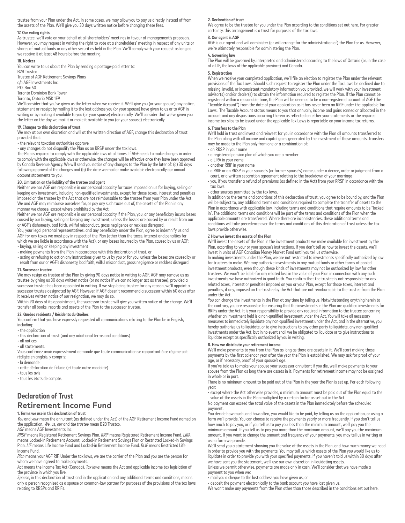trustee from your Plan under the Act. In some cases, we may allow you to pay us directly instead of from the assets of the Plan. We'll give you 30 days written notice before changing these fees.

### **17. Our voting rights**

As trustee, we'll vote on your behalf at all shareholders' meetings in favour of management's proposals. However, you may request in writing the right to vote at a shareholders' meeting in respect of any units or shares of mutual funds or any other securities held in the Plan. We'll comply with your request as long as we receive it at least 48 hours before the meeting.

### **18. Notices**

You can write to us about the Plan by sending a postage-paid letter to: **B2B Trustco** 

Trustee of AGF Retirement Savings Plans c/o AGF Investments Inc. P.O. Box 50

Toronto Dominion Bank Tower

Toronto, Ontario M5K 1E9

We'll consider that you've given us the letter when we receive it. We'll give you (or your spouse) any notice, statement or receipt by mailing it to the last address you (or your spouse) have given to us or to AGF in writing or by making it available to you (or your spouse) electronically. We'll consider that we've given you the letter on the day we mail it or make it available to you (or your spouse) electronically.

### **19. Changes to this declaration of trust**

We may at our own discretion and will at the written direction of AGF, change this declaration of trust provided that:

• the relevant taxation authorities approve

• any changes do not disqualify the Plan as an RRSP under the tax laws.

The Plan is required to comply with the applicable laws at all times. If AGF needs to make changes in order to comply with the applicable laws or otherwise, the changes will be efective once they have been approved by Canada Revenue Agency. We will send you notice of any changes to the Plan by the later of: (a) 30 days following approval of the changes and (b) the date we mail or make available electronically our annual account statements to you.

### **20. Limitation on the liability of the trustee and agent**

Neither we nor AGF are responsible in our personal capacity for taxes imposed on us for buying, selling or keeping any investment, including non-qualified investments, except for those taxes, interest and penalties imposed on the trustee by the Act that are not reimbursable to the trustee from your Plan under the Act. We and AGF may reimburse ourselves for, or pay any such taxes out of, the assets of the Plan in any manner we choose, except where prohibited by the Act.

Neither we nor AGF are responsible in our personal capacity if the Plan, you, or any benefciary incurs losses caused by our buying, selling or keeping any investment, unless the losses are caused by or result from our or AGF's dishonesty, bad faith, willful misconduct, gross negligence or reckless disregard.

You, your legal personal representatives, and any beneficiary under the Plan, agree to indemnify us and AGF for any taxes we must pay in respect of the Plan (other than the taxes, interest and penalties for which we are liable in accordance with the Act), or any losses incurred by the Plan, caused by us or AGF: • buying, selling or keeping any investment

• making payments from the Plan in accordance with this declaration of trust, or

• acting or refusing to act on any instructions given to us by you or for you, unless the losses are caused by or result from our or AGF's dishonesty, bad faith, wilful misconduct, gross negligence or reckless disregard.

#### **21. Successor trustee**

We may resign as trustee of the Plan by giving 90 days notice in writing to AGF. AGF may remove us as trustee by giving us 30 days written notice (or no notice if we can no longer act as trustee), provided a successor trustee has been appointed in writing. If we stop being trustee for any reason, we'll appoint a successor trustee designated by AGF. However, if AGF doesn't recommend a successor within 60 days afer it receives written notice of our resignation, we may do so.

Within 90 days of its appointment, the successor trustee will give you written notice of the change. We'll transfer all books, records and assets of the Plan to the successor trustee.

### **22. Quebec residents / Résidents du Québec**

You confrm that you have expressly requested all communications relating to the Plan be in English,

including: • the application

- this declaration of trust (and any additional terms and conditions)
- all notices
- all statements.

Vous confrmez avoir expressément demandé que toute communication se rapportant à ce régime soit rédigée en anglais, y compris:

• la demande

• cette déclaration de fducie (et toute autre modalité)

• tous les avis

• tous les états de compte.

### **Declaration of Trust Retirement Income Fund**

### **1. Terms we use in this declaration of trust**

*You* and *your* mean the annuitant (as defined under the Act) of the AGF Retirement Income Fund named on the application. *We*, *us*, *our* and *the trustee* mean B2B Trustco.

*AGF* means AGF Investments Inc. *RRSP* means Registered Retirement Savings Plan. *RRIF* means Registered Retirement Income Fund. *LIRA*  means Locked-in Retirement Account, Locked-in Retirement Savings Plan or Restricted Locked-in Savings Plan. *LIF* means Life Income Fund and Locked-in Retirement Income Fund. *RLIF* means Restricted Life Income Fund.

*Plan* means your AGF RIF. Under the tax laws, we are the carrier of the Plan and you are the person for whom we have agreed to make payments.

*Act* means the Income Tax Act (Canada). *Tax laws* means the Act and applicable income tax legislation of the province in which you live.

*Spouse*, in this declaration of trust and in the application and any additional terms and conditions, means only a person recognized as a spouse or common-law partner for purposes of the provisions of the tax laws relating to RRSPs and RRIFs.

### **2. Declaration of trust**

We agree to be the trustee for you under the Plan according to the conditions set out here. For greater certainty, this arrangement is a trust for purposes of the tax laws.

### **3. Our agent is AGF**

AGF is our agent and will administer (or will arrange for the administration of) the Plan for us. However, we're ultimately responsible for administering the Plan.

### **4. Governing law**

The Plan will be governed by, interpreted and administered according to the laws of Ontario (or, in the case of a LIF, the laws of the applicable province) and Canada.

### **5. Registration**

í When we receive your completed application, we'll file an election to register the Plan under the relevant provisions of the Tax Laws. Should such request to register the Plan under the Tax Laws be declined due to missing, invalid, or inconsistent mandatory information you provided, we will work with your investment advisor(s) and/or dealer(s) to obtain the information required to register the Plan. If the Plan cannot be registered within a reasonable time, the Plan will be deemed to be a non-registered account of AGF (the "Taxable Account") from the date of your application as it has never been an RRIF under the applicable Tax Laws. The Taxable Account status means to you that annually, income and gains earned or allocated in the account and any dispositions occurring therein as refected on either your statements or the required income tax slips to be issued under the applicable Tax Laws is reportable on your income tax returns.

#### **6. Transfers to the Plan**

We'll hold in trust and invest and reinvest for you in accordance with the Plan all amounts transferred to the Plan along with all income and capital gains generated by the investment of those amounts. Transfers may be made to the Plan only from one or a combination of:

- an RRSP in your name
- a registered pension plan of which you are a member
- a LIRA in your name
- another RRIF in your name
- $\overline{\mathbf{r}}$ • a RRIF or an RRSP in your spouse's (or former spouse's) name, under a decree, order or judgment from a court, or a written separation agreement relating to the breakdown of your marriage

 $\overline{)}$ • you, if you transfer a refund of premiums (as defned in the Act) from your RRSP in accordance with the tax laws

### • other sources permitted by the tax laws.

In addition to the terms and conditions of this declaration of trust, you agree to be bound by, and the Plan will be subject to, any additional terms and conditions required to complete the transfer of assets to the Plan in accordance with applicable law, including terms and conditions that require amounts to be "locked in". The additional terms and conditions will be part of the terms and conditions of the Plan when the applicable amounts are transferred. Where there are inconsistencies, these additional terms and conditions will take precedence over the terms and conditions of this declaration of trust unless the tax laws provide otherwise.

### **7. How we invest the assets of the Plan**

We'll invest the assets of the Plan in the investment products we make available for investment by the Plan, according to your or your spouse's instructions. If you don't tell us how to invest the assets, we'll invest in units of AGF Canadian Money Market Fund until you tell us otherwise.

In making investments under the Plan, we are not restricted to investments specifically authorized by law for trustees to make. We may authorize investments in any mutual funds or other forms of pooled investment products, even though these kinds of investments may not be authorized by law for other trustees. We won't be liable for any related loss in the value of your Plan in connection with any such investments we have authorized in good faith. You confrm that the trustee is not responsible for any related taxes, interest or penalties imposed on you or your Plan, except for those taxes, interest and penalties, if any, imposed on the trustee by the Act that are not reimbursable to the trustee from the Plan under the Act.

You can change the investments in the Plan at any time by telling us. Notwithstanding anything herein to the contrary, you are responsible for ensuring that the investments in the Plan are qualifed investments for RRIFs under the Act. It is your responsibility to provide any required information to the trustee concerning whether an investment held is a non-qualifed investment under the Act. You will take all necessary measures to immediately liquidate any non-qualifed investment under the Act, and in the alternative, you hereby authorize us to liquidate, or to give instructions to any other party to liquidate, any non-qualifed investments under the Act, but in no event shall we be obligated to liquidate or to give instructions to liquidate except as specifically authorized by you in writing.

### **8. How we distribute your retirement income**

We'll make payments to you from the Plan as long as there are assets in it. We'll start making these payments by the frst calendar year afer the year the Plan is established. We may ask for proof of your age, or if necessary, proof of your spouse's age.

If you've told us to make your spouse your successor annuitant if you die, we'll make payments to your spouse from the Plan as long there are assets in it. Payments for retirement income may not be assigned in whole or in part.

There is no minimum amount to be paid out of the Plan in the year the Plan is set up. For each following year:

• except where the Act otherwise provides, a minimum amount must be paid out of the Plan equal to the value of the assets in the Plan multiplied by a certain factor as set out in the Act.

No payment can exceed the total value of the assets in the Plan immediately before the scheduled payment.

You decide how much, and how ofen, you would like to be paid, by telling us on the application, or using a form we'll provide. You can choose to receive the payments yearly or more frequently. If you don't tell us how much to pay you, or if you tell us to pay you less than the minimum amount, we'll pay you the minimum amount. If you tell us to pay you more than the maximum amount, we'll pay you the maximum amount. If you want to change the amount and frequency of your payments, you may tell us in writing or

use a form we provide. We'll send you a statement showing you the value of the assets in the Plan, and how much money we need in order to provide you with the payments. You may tell us which assets of the Plan you would like us to liquidate in order to provide you with your specifed payments. If you haven't told us within 30 days afer we have sent you the statement, we'll use our own discretion in liquidating assets.

Unless we permit otherwise, payments are made only in cash. We'll consider that we have made a payment to you when we:

• mail you a cheque to the last address you have given us, or

• deposit the payment electronically to the bank account you have last given us.

We won't make any payments from the Plan other than those described in the conditions set out here.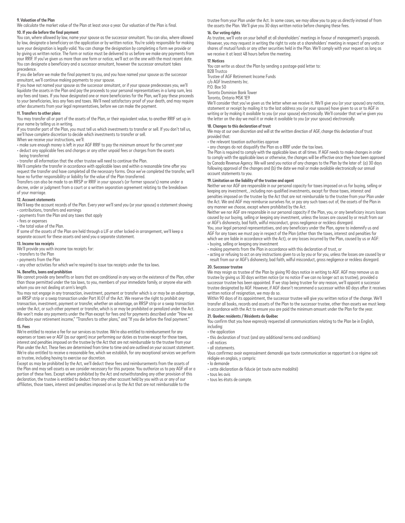### **9. Valuation of the Plan**

We calculate the market value of the Plan at least once a year. Our valuation of the Plan is final.

### **10. If you die before the fnal payment**

You can, where allowed by law, name your spouse as the successor annuitant. You can also, where allowed by law, designate a beneficiary on the application or by written notice. You're solely responsible for making sure your designation is legally valid. You can change the designation by completing a form we provide or by giving us written notice. The form or notice must be delivered to us before we make any payments from your RRIF. If you've given us more than one form or notice, we'll act on the one with the most recent date. .<br>You can designate a beneficiary and a successor annuitant, however the successor annuitant takes precedence.

If you die before we make the final payment to you, and you have named your spouse as the successor annuitant, we'll continue making payments to your spouse.

If you have not named your spouse as the successor annuitant, or if your spouse predeceases you, we'll liquidate the assets in the Plan and pay the proceeds to your personal representatives in a lump sum, less any fees and taxes. If you have designated one or more beneficiaries for the Plan, we'll pay these proceeds to your beneficiaries, less any fees and taxes. We'll need satisfactory proof of your death, and may require other documents from your legal representatives, before we can make the payment.

### **11. Transfers to other plans**

You may transfer all or part of the assets of the Plan, or their equivalent value, to another RRIF set up in your name by telling us in writing.

If you transfer part of the Plan, you must tell us which investments to transfer or sell. If you don't tell us, we'll have complete discretion to decide which investments to transfer or sell.

When we receive your instructions, we'll:

• make sure enough money is left in your AGF RRIF to pay the minimum amount for the current year • deduct any applicable fees and charges or any other unpaid fees or charges from the assets

being transferred

• transfer all information that the other trustee will need to continue the Plan.

We'll complete the transfer in accordance with applicable laws and within a reasonable time after you request the transfer and have completed all the necessary forms. Once we've completed the transfer, we'll have no further responsibility or liability for the value of the Plan transferred.

Transfers can also be made to an RRSP or RRIF in your spouse's (or former spouse's) name under a decree, order or judgment from a court or a written separation agreement relating to the breakdown of your marriage.

### **12. Account statements**

We'll keep the account records of the Plan. Every year we'll send you (or your spouse) a statement showing:

• contributions, transfers and earnings • payments from the Plan and any taxes that apply

- fees or expenses
- the total value of the Plan.

If some of the assets of the Plan are held through a LIF or other locked-in arrangement, we'll keep a separate account for these assets and send you a separate statement.

#### **13. Income tax receipts**

We'll provide you with income tax receipts for:

### • transfers to the Plan

• payments from the Plan

• any other activities for which we're required to issue tax receipts under the tax laws.

### **14. Benefts, loans and prohibition**

We cannot provide any benefts or loans that are conditional in any way on the existence of the Plan, other than those permitted under the tax laws, to you, members of your immediate family, or anyone else with whom you are not dealing at arm's length.

You may not engage in any transaction, investment, payment or transfer which is or may be an advantage, an RRSP strip or a swap transaction under Part XI.01 of the Act. We reserve the right to prohibit any transaction, investment, payment or transfer, whether an advantage, an RRSP strip or a swap transaction under the Act, or such other payment or transfer, which is or may be prohibited or penalized under the Act. We won't make any payments under the Plan except for fees and for payments described under "How we distribute your retirement income," "Transfers to other plans," and "If you die before the fnal payment."

### **15. Fees**

We're entitled to receive a fee for our services as trustee. We're also entitled to reimbursement for any expenses or taxes we or AGF (as our agent) incur performing our duties as trustee except for those taxes, interest and penalties imposed on the trustee by the Act that are not reimbursable to the trustee from your Plan under the Act. These fees are determined from time to time and are outlined on your account statement. We're also entitled to receive a reasonable fee, which we establish, for any exceptional services we perform as trustee, including having to exercise our discretion.

Except as may be prohibited by the Act, we'll deduct these fees and reimbursements from the assets of the Plan and may sell assets as we consider necessary for this purpose. You authorize us to pay AGF all or a portion of these fees. Except where prohibited by the Act and notwithstanding any other provision of this declaration, the trustee is entitled to deduct from any other account held by you with us or any of our affiliates, those taxes, interest and penalties imposed on us by the Act that are not reimbursable to the

trustee from your Plan under the Act. In some cases, we may allow you to pay us directly instead of from the assets the Plan. We'll give you 30 days written notice before changing these fees.

#### **16. Our voting rights**

As trustee, we'll vote on your behalf at all shareholders' meetings in favour of management's proposals. However, you may request in writing the right to vote at a shareholders' meeting in respect of any units or shares of mutual funds or any other securities held in the Plan. We'll comply with your request as long as we receive it at least 48 hours before the meeting.

### **17. Notices**

You can write us about the Plan by sending a postage-paid letter to:

B2B Trustco

Trustee of AGF Retirement Income Funds c/o AGF Investments Inc.

P.O. Box 50

Toronto Dominion Bank Tower

Toronto, Ontario M5K 1E9

We'll consider that you've given us the letter when we receive it. We'll give you (or your spouse) any notice, statement or receipt by mailing it to the last address you (or your spouse) have given to us or to AGF in writing or by making it available to you (or your spouse) electronically. We'll consider that we've given you the letter on the day we mail it or make it available to you (or your spouse) electronically.

### **18. Changes to this declaration of trust**

 $\ddot{\phantom{a}}$ We may at our own discretion and will at the written direction of AGF, change this declaration of trust provided that:

• the relevant taxation authorities approve

• any changes do not disqualify the Plan as a RRIF under the tax laws.

The Plan is required to comply with the applicable laws at all times. If AGF needs to make changes in order to comply with the applicable laws or otherwise, the changes will be effective once they have been approved by Canada Revenue Agency. We will send you notice of any changes to the Plan by the later of: (a) 30 days following approval of the changes and (b) the date we mail or make available electronically our annual account statements to you.

### **19. Limitation on the liability of the trustee and agent**

Neither we nor AGF are responsible in our personal capacity for taxes imposed on us for buying, selling or keeping any investment, , including non-qualifed investments, except for those taxes, interest and penalties imposed on the trustee by the Act that are not reimbursable to the trustee from your Plan under the Act. We and AGF may reimburse ourselves for, or pay any such taxes out of, the assets of the Plan in any manner we choose, except where prohibited by the Act.

Neither we nor AGF are responsible in our personal capacity if the Plan, you, or any beneficiary incurs losses caused by our buying, selling or keeping any investment, unless the losses are caused by or result from our or AGF's dishonesty, bad faith, wilful misconduct, gross negligence or reckless disregard.

You, your legal personal representatives, and any benefciary under the Plan, agree to indemnify us and AGF for any taxes we must pay in respect of the Plan (other than the taxes, interest and penalties for which we are liable in accordance with the Act), or any losses incurred by the Plan, caused by us or AGF: • buying, selling or keeping any investment

• making payments from the Plan in accordance with this declaration of trust, or

• acting or refusing to act on any instructions given to us by you or for you, unless the losses are caused by or result from our or AGF's dishonesty, bad faith, wilful misconduct, gross negligence or reckless disregard.

#### **20. Successor trustee**

We may resign as trustee of the Plan by giving 90 days notice in writing to AGF. AGF may remove us as trustee by giving us 30 days written notice (or no notice if we can no longer act as trustee), provided a successor trustee has been appointed. If we stop being trustee for any reason, we'll appoint a successor trustee designated by AGF. However, if AGF doesn't recommend a successor within 60 days afer it receives written notice of resignation, we may do so.

í Within 90 days of its appointment, the successor trustee will give you written notice of the change. We'll transfer all books, records and assets of the Plan to the successor trustee, other than assets we must keep in accordance with the Act to ensure you are paid the minimum amount under the Plan for the year.

### **21. Quebec residents / Résidents du Québec**

You confrm that you have expressly requested all communications relating to the Plan be in English, including:

• the application

- this declaration of trust (and any additional terms and conditions)
- all notices
- all statements.

Vous confrmez avoir expressément demandé que toute communication se rapportant à ce régime soit rédigée en anglais, y compris:

- la demande
- cette déclaration de fducie (et toute autre modalité)
- tous les avis
- tous les états de compte.